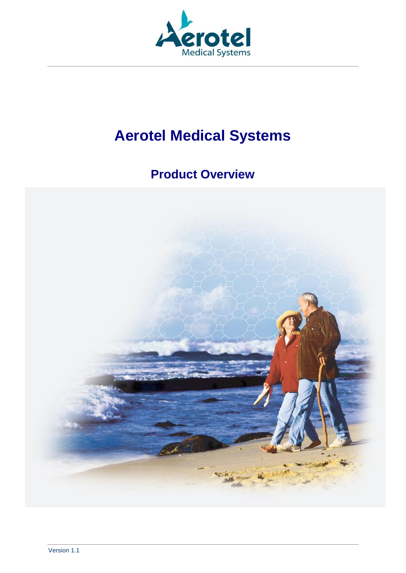

# **Aerotel Medical Systems**

## **Product Overview**

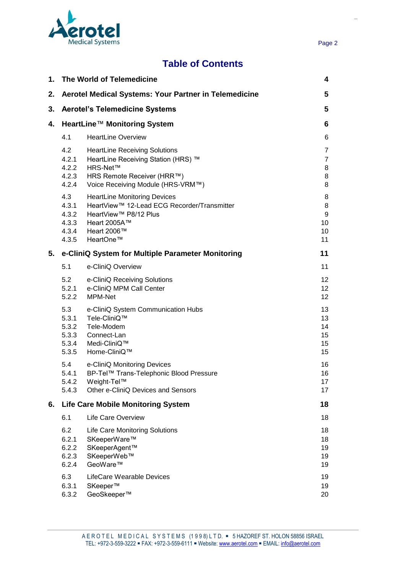

## **Table of Contents**

| 1. | The World of Telemedicine                        |                                                                                                                                                                   | 4                                  |
|----|--------------------------------------------------|-------------------------------------------------------------------------------------------------------------------------------------------------------------------|------------------------------------|
| 2. |                                                  | Aerotel Medical Systems: Your Partner in Telemedicine                                                                                                             | 5                                  |
| 3. |                                                  | <b>Aerotel's Telemedicine Systems</b>                                                                                                                             | 5                                  |
| 4. | HeartLine™ Monitoring System                     |                                                                                                                                                                   | 6                                  |
|    | 4.1                                              | <b>HeartLine Overview</b>                                                                                                                                         | 6                                  |
|    | 4.2<br>4.2.1<br>4.2.2<br>4.2.3<br>4.2.4          | <b>HeartLine Receiving Solutions</b><br>HeartLine Receiving Station (HRS) ™<br><b>HRS-Net™</b><br>HRS Remote Receiver (HRR™)<br>Voice Receiving Module (HRS-VRM™) | 7<br>$\overline{7}$<br>8<br>8<br>8 |
|    | 4.3<br>4.3.1<br>4.3.2<br>4.3.3<br>4.3.4<br>4.3.5 | <b>HeartLine Monitoring Devices</b><br>HeartView™ 12-Lead ECG Recorder/Transmitter<br>HeartView™ P8/12 Plus<br>Heart 2005A™<br>Heart 2006™<br>HeartOne™           | 8<br>8<br>9<br>10<br>10<br>11      |
| 5. |                                                  | e-CliniQ System for Multiple Parameter Monitoring                                                                                                                 | 11                                 |
|    | 5.1                                              | e-CliniQ Overview                                                                                                                                                 | 11                                 |
|    | 5.2<br>5.2.1<br>5.2.2                            | e-CliniQ Receiving Solutions<br>e-CliniQ MPM Call Center<br>MPM-Net                                                                                               | 12<br>12 <sub>2</sub><br>12        |
|    | 5.3<br>5.3.1<br>5.3.2<br>5.3.3<br>5.3.4<br>5.3.5 | e-CliniQ System Communication Hubs<br>Tele-CliniQ™<br>Tele-Modem<br>Connect-Lan<br>Medi-CliniQ™<br>Home-CliniQ™                                                   | 13<br>13<br>14<br>15<br>15<br>15   |
|    | 5.4<br>5.4.1<br>5.4.2<br>5.4.3                   | e-CliniQ Monitoring Devices<br>BP-Tel™ Trans-Telephonic Blood Pressure<br>Weight-Tel™<br>Other e-CliniQ Devices and Sensors                                       | 16<br>16<br>17<br>17               |
| 6. | <b>Life Care Mobile Monitoring System</b>        |                                                                                                                                                                   | 18                                 |
|    | 6.1                                              | <b>Life Care Overview</b>                                                                                                                                         | 18                                 |
|    | 6.2<br>6.2.1<br>6.2.2<br>6.2.3<br>6.2.4          | <b>Life Care Monitoring Solutions</b><br>SKeeperWare™<br>SKeeperAgent™<br>SKeeperWeb™<br>GeoWare™                                                                 | 18<br>18<br>19<br>19<br>19         |
|    | 6.3<br>6.3.1<br>6.3.2                            | LifeCare Wearable Devices<br>SKeeper™<br>GeoSkeeper™                                                                                                              | 19<br>19<br>20                     |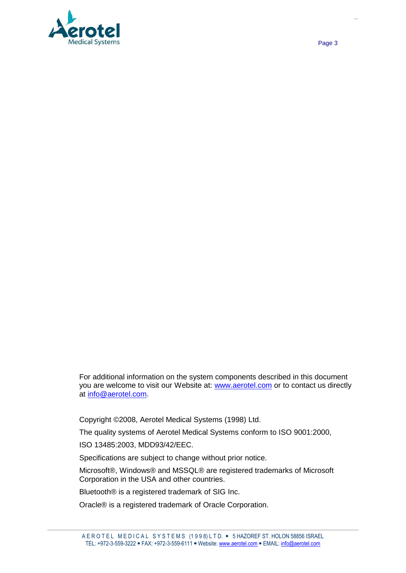

For additional information on the system components described in this document you are welcome to visit our Website at: [www.aerotel.com](http://www.aerotel.com/) or to contact us directly at [info@aerotel.com.](mailto:info@aerotel.com)

Copyright ©2008, Aerotel Medical Systems (1998) Ltd.

The quality systems of Aerotel Medical Systems conform to ISO 9001:2000,

ISO 13485:2003, MDD93/42/EEC.

Specifications are subject to change without prior notice.

Microsoft®, Windows® and MSSQL® are registered trademarks of Microsoft Corporation in the USA and other countries.

Bluetooth® is a registered trademark of SIG Inc.

Oracle® is a registered trademark of Oracle Corporation.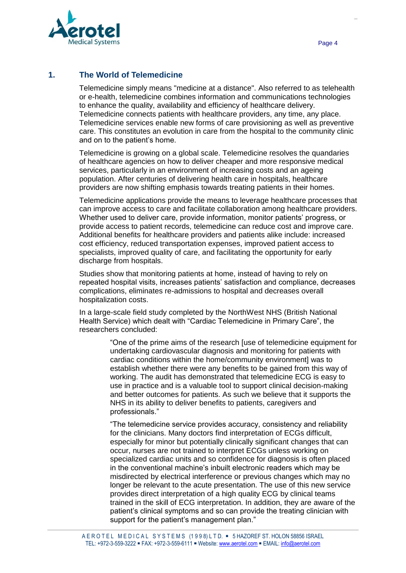

#### **1. The World of Telemedicine**

Telemedicine simply means "medicine at a distance". Also referred to as telehealth or e-health, telemedicine combines information and communications technologies to enhance the quality, availability and efficiency of healthcare delivery. Telemedicine connects patients with healthcare providers, any time, any place. Telemedicine services enable new forms of care provisioning as well as preventive care. This constitutes an evolution in care from the hospital to the community clinic and on to the patient's home.

Telemedicine is growing on a global scale. Telemedicine resolves the quandaries of healthcare agencies on how to deliver cheaper and more responsive medical services, particularly in an environment of increasing costs and an ageing population. After centuries of delivering health care in hospitals, healthcare providers are now shifting emphasis towards treating patients in their homes.

Telemedicine applications provide the means to leverage healthcare processes that can improve access to care and facilitate collaboration among healthcare providers. Whether used to deliver care, provide information, monitor patients' progress, or provide access to patient records, telemedicine can reduce cost and improve care. Additional benefits for healthcare providers and patients alike include: increased cost efficiency, reduced transportation expenses, improved patient access to specialists, improved quality of care, and facilitating the opportunity for early discharge from hospitals.

Studies show that monitoring patients at home, instead of having to rely on repeated hospital visits, increases patients' satisfaction and compliance, decreases complications, eliminates re-admissions to hospital and decreases overall hospitalization costs.

In a large-scale field study completed by the NorthWest NHS (British National Health Service) which dealt with "Cardiac Telemedicine in Primary Care", the researchers concluded:

> "One of the prime aims of the research [use of telemedicine equipment for undertaking cardiovascular diagnosis and monitoring for patients with cardiac conditions within the home/community environment] was to establish whether there were any benefits to be gained from this way of working. The audit has demonstrated that telemedicine ECG is easy to use in practice and is a valuable tool to support clinical decision-making and better outcomes for patients. As such we believe that it supports the NHS in its ability to deliver benefits to patients, caregivers and professionals."

> "The telemedicine service provides accuracy, consistency and reliability for the clinicians. Many doctors find interpretation of ECGs difficult, especially for minor but potentially clinically significant changes that can occur, nurses are not trained to interpret ECGs unless working on specialized cardiac units and so confidence for diagnosis is often placed in the conventional machine's inbuilt electronic readers which may be misdirected by electrical interference or previous changes which may no longer be relevant to the acute presentation. The use of this new service provides direct interpretation of a high quality ECG by clinical teams trained in the skill of ECG interpretation. In addition, they are aware of the patient's clinical symptoms and so can provide the treating clinician with support for the patient's management plan."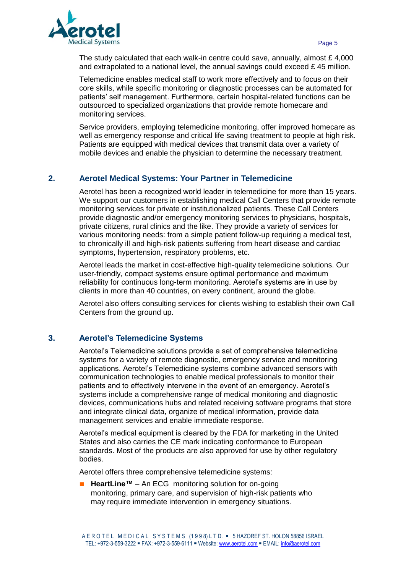

The study calculated that each walk-in centre could save, annually, almost  $£ 4,000$ and extrapolated to a national level, the annual savings could exceed  $E$  45 million.

Telemedicine enables medical staff to work more effectively and to focus on their core skills, while specific monitoring or diagnostic processes can be automated for patients' self management. Furthermore, certain hospital-related functions can be outsourced to specialized organizations that provide remote homecare and monitoring services.

Service providers, employing telemedicine monitoring, offer improved homecare as well as emergency response and critical life saving treatment to people at high risk. Patients are equipped with medical devices that transmit data over a variety of mobile devices and enable the physician to determine the necessary treatment.

#### **2. Aerotel Medical Systems: Your Partner in Telemedicine**

Aerotel has been a recognized world leader in telemedicine for more than 15 years. We support our customers in establishing medical Call Centers that provide remote monitoring services for private or institutionalized patients. These Call Centers provide diagnostic and/or emergency monitoring services to physicians, hospitals, private citizens, rural clinics and the like. They provide a variety of services for various monitoring needs: from a simple patient follow-up requiring a medical test, to chronically ill and high-risk patients suffering from heart disease and cardiac symptoms, hypertension, respiratory problems, etc.

Aerotel leads the market in cost-effective high-quality telemedicine solutions. Our user-friendly, compact systems ensure optimal performance and maximum reliability for continuous long-term monitoring. Aerotel's systems are in use by clients in more than 40 countries, on every continent, around the globe.

Aerotel also offers consulting services for clients wishing to establish their own Call Centers from the ground up.

#### **3. Aerotel's Telemedicine Systems**

Aerotel's Telemedicine solutions provide a set of comprehensive telemedicine systems for a variety of remote diagnostic, emergency service and monitoring applications. Aerotel's Telemedicine systems combine advanced sensors with communication technologies to enable medical professionals to monitor their patients and to effectively intervene in the event of an emergency. Aerotel's systems include a comprehensive range of medical monitoring and diagnostic devices, communications hubs and related receiving software programs that store and integrate clinical data, organize of medical information, provide data management services and enable immediate response.

Aerotel's medical equipment is cleared by the FDA for marketing in the United States and also carries the CE mark indicating conformance to European standards. Most of the products are also approved for use by other regulatory bodies.

Aerotel offers three comprehensive telemedicine systems:

**■ HeartLine™** – An ECG monitoring solution for on-going monitoring, primary care, and supervision of high-risk patients who may require immediate intervention in emergency situations.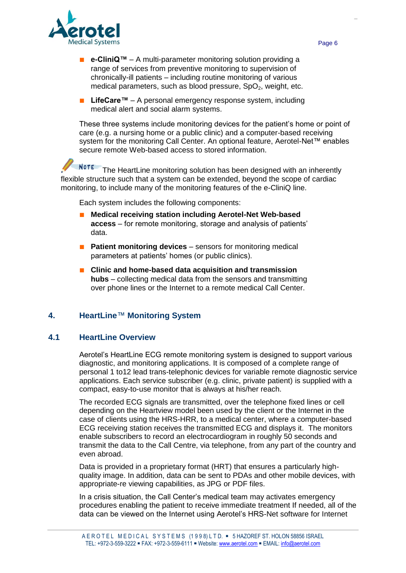

- **e-CliniQ™** A multi-parameter monitoring solution providing a range of services from preventive monitoring to supervision of chronically-ill patients – including routine monitoring of various medical parameters, such as blood pressure,  $SpO<sub>2</sub>$ , weight, etc.
- **■ LifeCare™**  A personal emergency response system, including medical alert and social alarm systems.

These three systems include monitoring devices for the patient's home or point of care (e.g. a nursing home or a public clinic) and a computer-based receiving system for the monitoring Call Center. An optional feature, Aerotel-Net™ enables secure remote Web-based access to stored information.

NOTE The HeartLine monitoring solution has been designed with an inherently flexible structure such that a system can be extended, beyond the scope of cardiac monitoring, to include many of the monitoring features of the e-CliniQ line.

Each system includes the following components:

- **■ Medical receiving station including Aerotel-Net Web-based access** – for remote monitoring, storage and analysis of patients' data.
- **Patient monitoring devices** sensors for monitoring medical parameters at patients' homes (or public clinics).
- **■ Clinic and home-based data acquisition and transmission hubs** – collecting medical data from the sensors and transmitting over phone lines or the Internet to a remote medical Call Center.

#### **4. HeartLine**™ **Monitoring System**

#### **4.1 HeartLine Overview**

Aerotel's HeartLine ECG remote monitoring system is designed to support various diagnostic, and monitoring applications. It is composed of a complete range of personal 1 to12 lead trans-telephonic devices for variable remote diagnostic service applications. Each service subscriber (e.g. clinic, private patient) is supplied with a compact, easy-to-use monitor that is always at his/her reach.

The recorded ECG signals are transmitted, over the telephone fixed lines or cell depending on the Heartview model been used by the client or the Internet in the case of clients using the HRS-HRR, to a medical center, where a computer-based ECG receiving station receives the transmitted ECG and displays it. The monitors enable subscribers to record an electrocardiogram in roughly 50 seconds and transmit the data to the Call Centre, via telephone, from any part of the country and even abroad.

Data is provided in a proprietary format (HRT) that ensures a particularly highquality image. In addition, data can be sent to PDAs and other mobile devices, with appropriate-re viewing capabilities, as JPG or PDF files.

In a crisis situation, the Call Center's medical team may activates emergency procedures enabling the patient to receive immediate treatment If needed, all of the data can be viewed on the Internet using Aerotel's HRS-Net software for Internet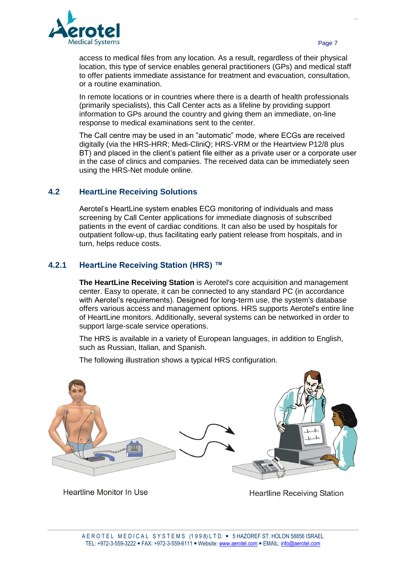

access to medical files from any location. As a result, regardless of their physical location, this type of service enables general practitioners (GPs) and medical staff to offer patients immediate assistance for treatment and evacuation, consultation, or a routine examination.

In remote locations or in countries where there is a dearth of health professionals (primarily specialists), this Call Center acts as a lifeline by providing support information to GPs around the country and giving them an immediate, on-line response to medical examinations sent to the center.

The Call centre may be used in an "automatic" mode, where ECGs are received digitally (via the HRS-HRR; Medi-CliniQ; HRS-VRM or the Heartview P12/8 plus BT) and placed in the client's patient file either as a private user or a corporate user in the case of clinics and companies. The received data can be immediately seen using the HRS-Net module online.

#### **4.2 HeartLine Receiving Solutions**

Aerotel's HeartLine system enables ECG monitoring of individuals and mass screening by Call Center applications for immediate diagnosis of subscribed patients in the event of cardiac conditions. It can also be used by hospitals for outpatient follow-up, thus facilitating early patient release from hospitals, and in turn, helps reduce costs.

#### **4.2.1 HeartLine Receiving Station (HRS) ™**

**The HeartLine Receiving Station** is Aerotel's core acquisition and management center. Easy to operate, it can be connected to any standard PC (in accordance with Aerotel's requirements). Designed for long-term use, the system's database offers various access and management options. HRS supports Aerotel's entire line of HeartLine monitors. Additionally, several systems can be networked in order to support large-scale service operations.

The HRS is available in a variety of European languages, in addition to English, such as Russian, Italian, and Spanish.

The following illustration shows a typical HRS configuration.



**Heartline Monitor In Use** 

**Heartline Receiving Station**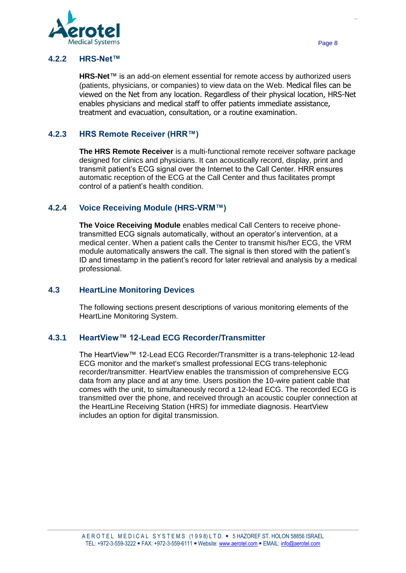

#### **4.2.2 HRS-Net™**

**HRS-Net**™ is an add-on element essential for remote access by authorized users (patients, physicians, or companies) to view data on the Web. Medical files can be viewed on the Net from any location. Regardless of their physical location, HRS-Net enables physicians and medical staff to offer patients immediate assistance, treatment and evacuation, consultation, or a routine examination.

#### **4.2.3 HRS Remote Receiver (HRR™)**

**The HRS Remote Receiver** is a multi-functional remote receiver software package designed for clinics and physicians. It can acoustically record, display, print and transmit patient's ECG signal over the Internet to the Call Center. HRR ensures automatic reception of the ECG at the Call Center and thus facilitates prompt control of a patient's health condition.

#### **4.2.4 Voice Receiving Module (HRS-VRM™)**

**The Voice Receiving Module** enables medical Call Centers to receive phonetransmitted ECG signals automatically, without an operator's intervention, at a medical center. When a patient calls the Center to transmit his/her ECG, the VRM module automatically answers the call. The signal is then stored with the patient's ID and timestamp in the patient's record for later retrieval and analysis by a medical professional.

#### **4.3 HeartLine Monitoring Devices**

The following sections present descriptions of various monitoring elements of the HeartLine Monitoring System.

#### **4.3.1 HeartView™ 12-Lead ECG Recorder/Transmitter**

The HeartView™ 12-Lead ECG Recorder/Transmitter is a trans-telephonic 12-lead ECG monitor and the market's smallest professional ECG trans-telephonic recorder/transmitter. HeartView enables the transmission of comprehensive ECG data from any place and at any time. Users position the 10-wire patient cable that comes with the unit, to simultaneously record a 12-lead ECG. The recorded ECG is transmitted over the phone, and received through an acoustic coupler connection at the HeartLine Receiving Station (HRS) for immediate diagnosis. HeartView includes an option for digital transmission.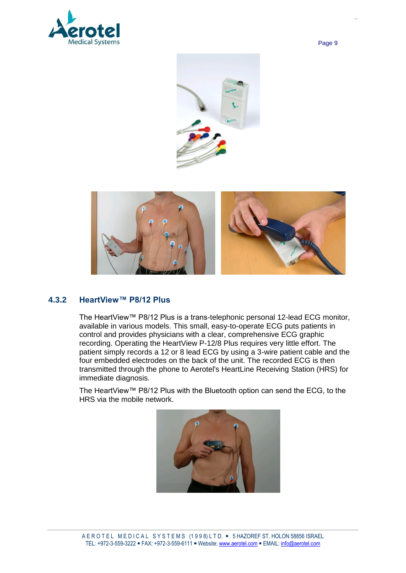







#### **4.3.2 HeartView™ P8/12 Plus**

The HeartView™ P8/12 Plus is a trans-telephonic personal 12-lead ECG monitor, available in various models. This small, easy-to-operate ECG puts patients in control and provides physicians with a clear, comprehensive ECG graphic recording. Operating the HeartView P-12/8 Plus requires very little effort. The patient simply records a 12 or 8 lead ECG by using a 3-wire patient cable and the four embedded electrodes on the back of the unit. The recorded ECG is then transmitted through the phone to Aerotel's HeartLine Receiving Station (HRS) for immediate diagnosis.

The HeartView™ P8/12 Plus with the Bluetooth option can send the ECG, to the HRS via the mobile network.

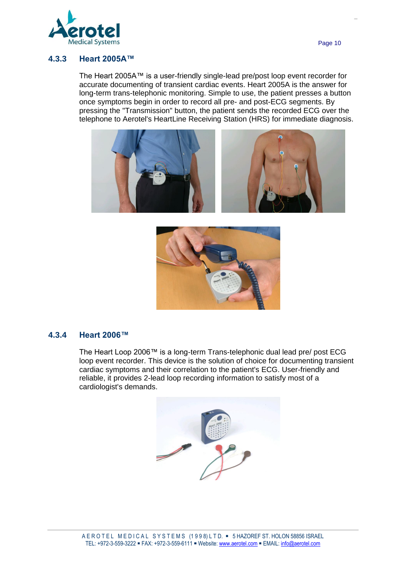

#### **4.3.3 Heart 2005A™**

The Heart 2005A™ is a user-friendly single-lead pre/post loop event recorder for accurate documenting of transient cardiac events. Heart 2005A is the answer for long-term trans-telephonic monitoring. Simple to use, the patient presses a button once symptoms begin in order to record all pre- and post-ECG segments. By pressing the "Transmission" button, the patient sends the recorded ECG over the telephone to Aerotel's HeartLine Receiving Station (HRS) for immediate diagnosis.





#### **4.3.4 Heart 2006™**

The Heart Loop 2006™ is a long-term Trans-telephonic dual lead pre/ post ECG loop event recorder. This device is the solution of choice for documenting transient cardiac symptoms and their correlation to the patient's ECG. User-friendly and reliable, it provides 2-lead loop recording information to satisfy most of a cardiologist's demands.

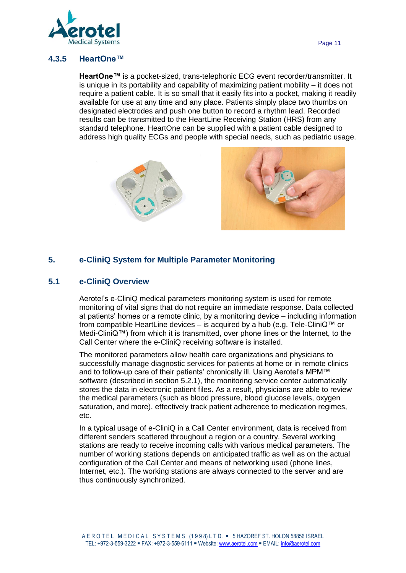

#### **4.3.5 HeartOne™**

**HeartOne™** is a pocket-sized, trans-telephonic ECG event recorder/transmitter. It is unique in its portability and capability of maximizing patient mobility – it does not require a patient cable. It is so small that it easily fits into a pocket, making it readily available for use at any time and any place. Patients simply place two thumbs on designated electrodes and push one button to record a rhythm lead. Recorded results can be transmitted to the HeartLine Receiving Station (HRS) from any standard telephone. HeartOne can be supplied with a patient cable designed to address high quality ECGs and people with special needs, such as pediatric usage.





## **5. e-CliniQ System for Multiple Parameter Monitoring**

#### **5.1 e-CliniQ Overview**

Aerotel's e-CliniQ medical parameters monitoring system is used for remote monitoring of vital signs that do not require an immediate response. Data collected at patients' homes or a remote clinic, by a monitoring device – including information from compatible HeartLine devices – is acquired by a hub (e.g. Tele-CliniQ™ or Medi-CliniQ™) from which it is transmitted, over phone lines or the Internet, to the Call Center where the e-CliniQ receiving software is installed.

The monitored parameters allow health care organizations and physicians to successfully manage diagnostic services for patients at home or in remote clinics and to follow-up care of their patients' chronically ill. Using Aerotel's MPM™ software (described in section 5.2.1), the monitoring service center automatically stores the data in electronic patient files. As a result, physicians are able to review the medical parameters (such as blood pressure, blood glucose levels, oxygen saturation, and more), effectively track patient adherence to medication regimes, etc.

In a typical usage of e-CliniQ in a Call Center environment, data is received from different senders scattered throughout a region or a country. Several working stations are ready to receive incoming calls with various medical parameters. The number of working stations depends on anticipated traffic as well as on the actual configuration of the Call Center and means of networking used (phone lines, Internet, etc.). The working stations are always connected to the server and are thus continuously synchronized.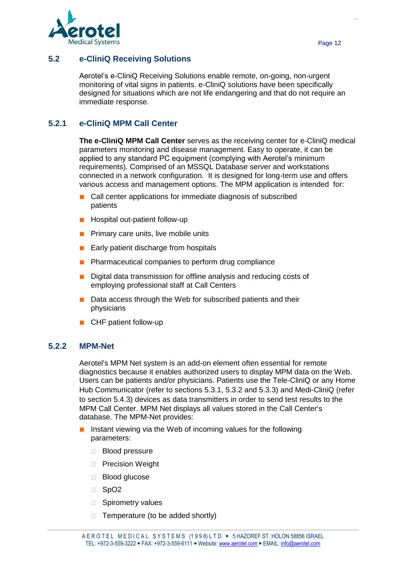

### **5.2 e-CliniQ Receiving Solutions**

Aerotel's e-CliniQ Receiving Solutions enable remote, on-going, non-urgent monitoring of vital signs in patients. e-CliniQ solutions have been specifically designed for situations which are not life endangering and that do not require an immediate response.

## **5.2.1 e-CliniQ MPM Call Center**

**The e-CliniQ MPM Call Center** serves as the receiving center for e-CliniQ medical parameters monitoring and disease management. Easy to operate, it can be applied to any standard PC equipment (complying with Aerotel's minimum requirements). Comprised of an MSSQL Database server and workstations connected in a network configuration. It is designed for long-term use and offers various access and management options. The MPM application is intended for:

- **■** Call center applications for immediate diagnosis of subscribed patients
- Hospital out-patient follow-up
- Primary care units, live mobile units
- Early patient discharge from hospitals
- Pharmaceutical companies to perform drug compliance
- Digital data transmission for offline analysis and reducing costs of employing professional staff at Call Centers
- Data access through the Web for subscribed patients and their physicians
- CHF patient follow-up

#### **5.2.2 MPM-Net**

Aerotel's MPM Net system is an add-on element often essential for remote diagnostics because it enables authorized users to display MPM data on the Web. Users can be patients and/or physicians. Patients use the Tele-CliniQ or any Home Hub Communicator (refer to sections [5.3.1,](#page-12-0) [5.3.2](#page-13-0) and [5.3.3\)](#page-14-0) and Medi-CliniQ (refer to section [5.4.3\)](#page-16-0) devices as data transmitters in order to send test results to the MPM Call Center. MPM Net displays all values stored in the Call Center's database. The MPM-Net provides:

- Instant viewing via the Web of incoming values for the following parameters:
	- Blood pressure
	- **Precision Weight**
	- □ Blood glucose
	- □ SpO<sub>2</sub>
	- □ Spirometry values
	- $\Box$  Temperature (to be added shortly)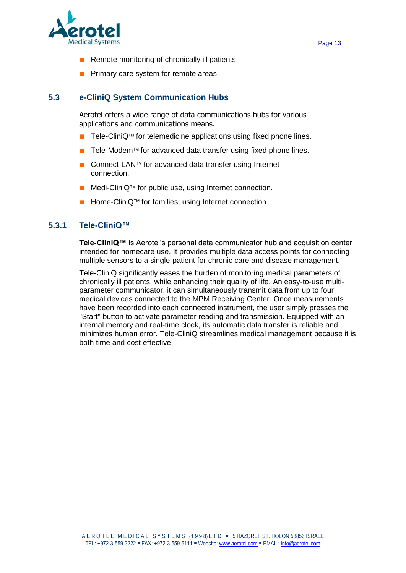

- **■** Remote monitoring of chronically ill patients
- **■** Primary care system for remote areas

#### **5.3 e-CliniQ System Communication Hubs**

Aerotel offers a wide range of data communications hubs for various applications and communications means.

- Tele-CliniQ<sup>™</sup> for telemedicine applications using fixed phone lines.
- Tele-Modem<sup>™</sup> for advanced data transfer using fixed phone lines.
- Connect-LAN<sup>™</sup> for advanced data transfer using Internet connection.
- Medi-CliniQ<sup>™</sup> for public use, using Internet connection.
- Home-CliniQ<sup>™</sup> for families, using Internet connection.

#### <span id="page-12-0"></span>**5.3.1 Tele-CliniQ™**

**Tele-CliniQ™** is Aerotel's personal data communicator hub and acquisition center intended for homecare use. It provides multiple data access points for connecting multiple sensors to a single-patient for chronic care and disease management.

Tele-CliniQ significantly eases the burden of monitoring medical parameters of chronically ill patients, while enhancing their quality of life. An easy-to-use multiparameter communicator, it can simultaneously transmit data from up to four medical devices connected to the MPM Receiving Center. Once measurements have been recorded into each connected instrument, the user simply presses the "Start" button to activate parameter reading and transmission. Equipped with an internal memory and real-time clock, its automatic data transfer is reliable and minimizes human error. Tele-CliniQ streamlines medical management because it is both time and cost effective.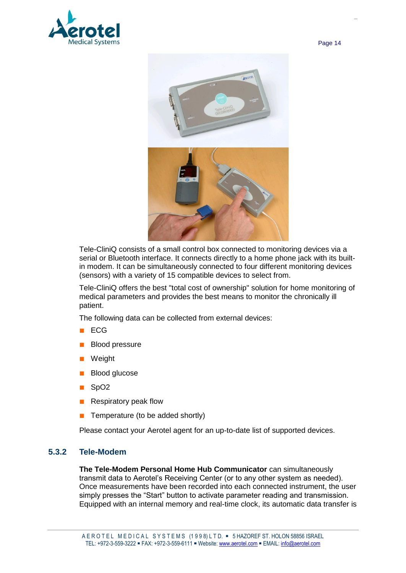



Tele-CliniQ consists of a small control box connected to monitoring devices via a serial or Bluetooth interface. It connects directly to a home phone jack with its builtin modem. It can be simultaneously connected to four different monitoring devices (sensors) with a variety of 15 compatible devices to select from.

Tele-CliniQ offers the best "total cost of ownership" solution for home monitoring of medical parameters and provides the best means to monitor the chronically ill patient.

The following data can be collected from external devices:

- **■** ECG
- **■** Blood pressure
- **■** Weight
- Blood glucose
- **■** SpO2
- **■** Respiratory peak flow
- **■** Temperature (to be added shortly)

Please contact your Aerotel agent for an up-to-date list of supported devices.

#### <span id="page-13-0"></span>**5.3.2 Tele-Modem**

**The Tele-Modem Personal Home Hub Communicator** can simultaneously transmit data to Aerotel's Receiving Center (or to any other system as needed). Once measurements have been recorded into each connected instrument, the user simply presses the "Start" button to activate parameter reading and transmission. Equipped with an internal memory and real-time clock, its automatic data transfer is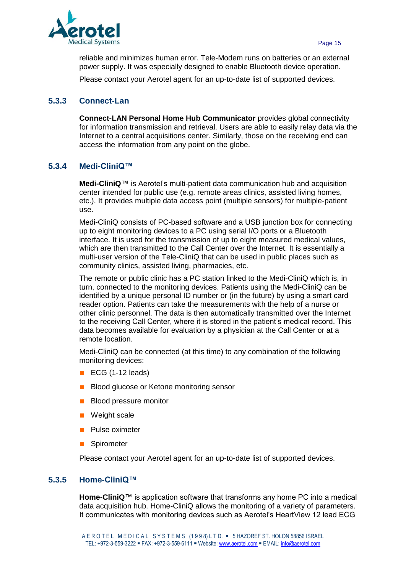

reliable and minimizes human error. Tele-Modem runs on batteries or an external power supply. It was especially designed to enable Bluetooth device operation.

Please contact your Aerotel agent for an up-to-date list of supported devices.

#### <span id="page-14-0"></span>**5.3.3 Connect-Lan**

**Connect-LAN Personal Home Hub Communicator** provides global connectivity for information transmission and retrieval. Users are able to easily relay data via the Internet to a central acquisitions center. Similarly, those on the receiving end can access the information from any point on the globe.

#### **5.3.4 Medi-CliniQ™**

**Medi-CliniQ**™ is Aerotel's multi-patient data communication hub and acquisition center intended for public use (e.g. remote areas clinics, assisted living homes, etc.). It provides multiple data access point (multiple sensors) for multiple-patient use.

Medi-CliniQ consists of PC-based software and a USB junction box for connecting up to eight monitoring devices to a PC using serial I/O ports or a Bluetooth interface. It is used for the transmission of up to eight measured medical values, which are then transmitted to the Call Center over the Internet. It is essentially a multi-user version of the Tele-CliniQ that can be used in public places such as community clinics, assisted living, pharmacies, etc.

The remote or public clinic has a PC station linked to the Medi-CliniQ which is, in turn, connected to the monitoring devices. Patients using the Medi-CliniQ can be identified by a unique personal ID number or (in the future) by using a smart card reader option. Patients can take the measurements with the help of a nurse or other clinic personnel. The data is then automatically transmitted over the Internet to the receiving Call Center, where it is stored in the patient's medical record. This data becomes available for evaluation by a physician at the Call Center or at a remote location.

Medi-CliniQ can be connected (at this time) to any combination of the following monitoring devices:

- ECG (1-12 leads)
- **■** Blood glucose or Ketone monitoring sensor
- **■** Blood pressure monitor
- **■** Weight scale
- **■** Pulse oximeter
- **■** Spirometer

Please contact your Aerotel agent for an up-to-date list of supported devices.

#### **5.3.5 Home-CliniQ™**

**Home-CliniQ**™ is application software that transforms any home PC into a medical data acquisition hub. Home-CliniQ allows the monitoring of a variety of parameters. It communicates with monitoring devices such as Aerotel's HeartView 12 lead ECG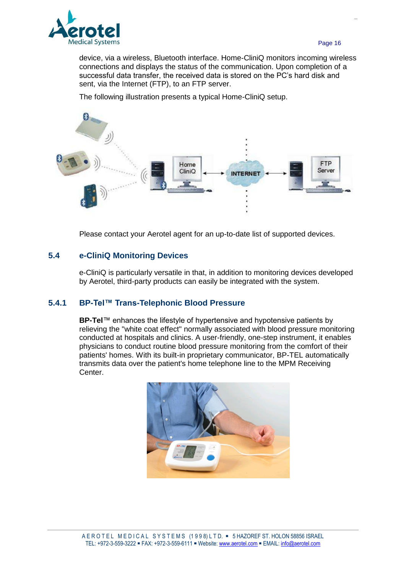

device, via a wireless, Bluetooth interface. Home-CliniQ monitors incoming wireless connections and displays the status of the communication. Upon completion of a successful data transfer, the received data is stored on the PC's hard disk and sent, via the Internet (FTP), to an FTP server.

The following illustration presents a typical Home-CliniQ setup.



Please contact your Aerotel agent for an up-to-date list of supported devices.

#### **5.4 e-CliniQ Monitoring Devices**

e-CliniQ is particularly versatile in that, in addition to monitoring devices developed by Aerotel, third-party products can easily be integrated with the system.

#### **5.4.1 BP-Tel™ Trans-Telephonic Blood Pressure**

**BP-Tel**™ enhances the lifestyle of hypertensive and hypotensive patients by relieving the "white coat effect" normally associated with blood pressure monitoring conducted at hospitals and clinics. A user-friendly, one-step instrument, it enables physicians to conduct routine blood pressure monitoring from the comfort of their patients' homes. With its built-in proprietary communicator, BP-TEL automatically transmits data over the patient's home telephone line to the MPM Receiving Center.

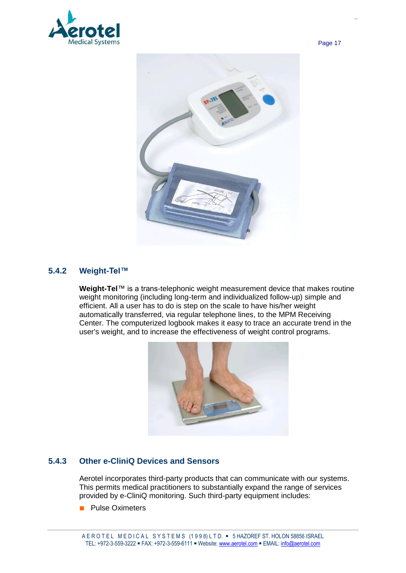



#### **5.4.2 Weight-Tel™**

**Weight-Tel**™ is a trans-telephonic weight measurement device that makes routine weight monitoring (including long-term and individualized follow-up) simple and efficient. All a user has to do is step on the scale to have his/her weight automatically transferred, via regular telephone lines, to the MPM Receiving Center. The computerized logbook makes it easy to trace an accurate trend in the user's weight, and to increase the effectiveness of weight control programs.



#### <span id="page-16-0"></span>**5.4.3 Other e-CliniQ Devices and Sensors**

Aerotel incorporates third-party products that can communicate with our systems. This permits medical practitioners to substantially expand the range of services provided by e-CliniQ monitoring. Such third-party equipment includes:

■ Pulse Oximeters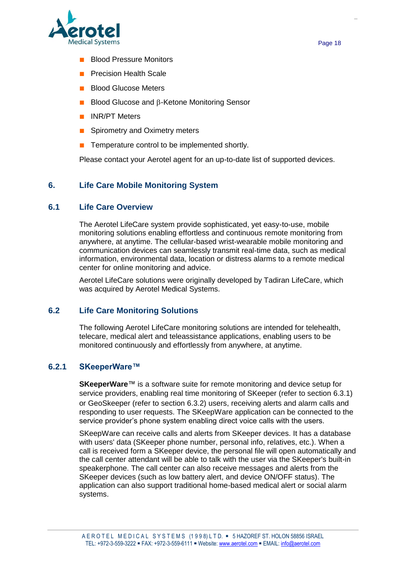

- **■** Blood Pressure Monitors
- **■** Precision Health Scale
- Blood Glucose Meters
- Blood Glucose and **B-Ketone Monitoring Sensor**
- **■** INR/PT Meters
- Spirometry and Oximetry meters
- Temperature control to be implemented shortly.

Please contact your Aerotel agent for an up-to-date list of supported devices.

#### **6. Life Care Mobile Monitoring System**

#### **6.1 Life Care Overview**

The Aerotel LifeCare system provide sophisticated, yet easy-to-use, mobile monitoring solutions enabling effortless and continuous remote monitoring from anywhere, at anytime. The cellular-based wrist-wearable mobile monitoring and communication devices can seamlessly transmit real-time data, such as medical information, environmental data, location or distress alarms to a remote medical center for online monitoring and advice.

Aerotel LifeCare solutions were originally developed by Tadiran LifeCare, which was acquired by Aerotel Medical Systems.

#### **6.2 Life Care Monitoring Solutions**

The following Aerotel LifeCare monitoring solutions are intended for telehealth, telecare, medical alert and teleassistance applications, enabling users to be monitored continuously and effortlessly from anywhere, at anytime.

#### **6.2.1 SKeeperWare™**

**SKeeperWare**™ is a software suite for remote monitoring and device setup for service providers, enabling real time monitoring of SKeeper (refer to section [6.3.1\)](#page-18-0) or GeoSkeeper (refer to section [6.3.2\)](#page-19-0) users, receiving alerts and alarm calls and responding to user requests. The SKeepWare application can be connected to the service provider's phone system enabling direct voice calls with the users.

SKeepWare can receive calls and alerts from SKeeper devices. It has a database with users' data (SKeeper phone number, personal info, relatives, etc.). When a call is received form a SKeeper device, the personal file will open automatically and the call center attendant will be able to talk with the user via the SKeeper's built-in speakerphone. The call center can also receive messages and alerts from the SKeeper devices (such as low battery alert, and device ON/OFF status). The application can also support traditional home-based medical alert or social alarm systems.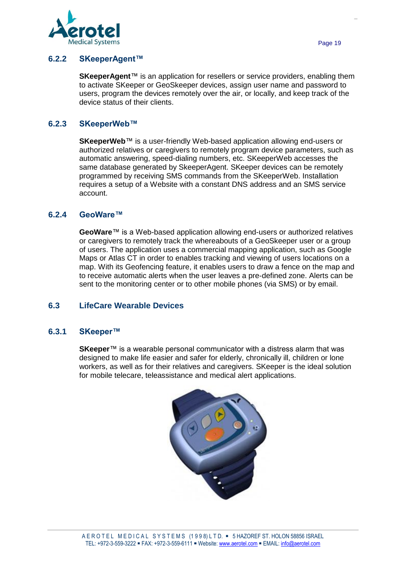

**SKeeperAgent**™ is an application for resellers or service providers, enabling them to activate SKeeper or GeoSkeeper devices, assign user name and password to users, program the devices remotely over the air, or locally, and keep track of the device status of their clients.

#### **6.2.3 SKeeperWeb™**

**SKeeperWeb**™ is a user-friendly Web-based application allowing end-users or authorized relatives or caregivers to remotely program device parameters, such as automatic answering, speed-dialing numbers, etc. SKeeperWeb accesses the same database generated by SkeeperAgent. SKeeper devices can be remotely programmed by receiving SMS commands from the SKeeperWeb. Installation requires a setup of a Website with a constant DNS address and an SMS service account.

#### **6.2.4 GeoWare™**

**GeoWare**™ is a Web-based application allowing end-users or authorized relatives or caregivers to remotely track the whereabouts of a GeoSkeeper user or a group of users. The application uses a commercial mapping application, such as Google Maps or Atlas CT in order to enables tracking and viewing of users locations on a map. With its Geofencing feature, it enables users to draw a fence on the map and to receive automatic alerts when the user leaves a pre-defined zone. Alerts can be sent to the monitoring center or to other mobile phones (via SMS) or by email.

## **6.3 LifeCare Wearable Devices**

#### <span id="page-18-0"></span>**6.3.1 SKeeper™**

**SKeeper**™ is a wearable personal communicator with a distress alarm that was designed to make life easier and safer for elderly, chronically ill, children or lone workers, as well as for their relatives and caregivers. SKeeper is the ideal solution for mobile telecare, teleassistance and medical alert applications.